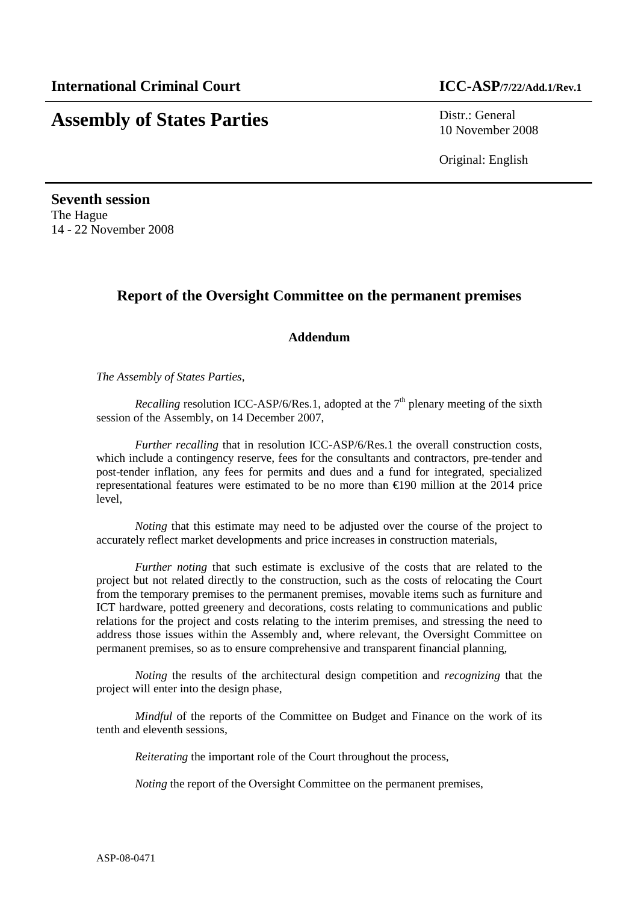# **Assembly of States Parties** Distr.: General

10 November 2008

Original: English

**Seventh session**  The Hague 14 - 22 November 2008

## **Report of the Oversight Committee on the permanent premises**

#### **Addendum**

*The Assembly of States Parties,* 

*Recalling* resolution ICC-ASP/6/Res.1, adopted at the  $7<sup>th</sup>$  plenary meeting of the sixth session of the Assembly, on 14 December 2007,

*Further recalling* that in resolution ICC-ASP/6/Res.1 the overall construction costs, which include a contingency reserve, fees for the consultants and contractors, pre-tender and post-tender inflation, any fees for permits and dues and a fund for integrated, specialized representational features were estimated to be no more than €190 million at the 2014 price level,

*Noting* that this estimate may need to be adjusted over the course of the project to accurately reflect market developments and price increases in construction materials,

*Further noting* that such estimate is exclusive of the costs that are related to the project but not related directly to the construction, such as the costs of relocating the Court from the temporary premises to the permanent premises, movable items such as furniture and ICT hardware, potted greenery and decorations, costs relating to communications and public relations for the project and costs relating to the interim premises, and stressing the need to address those issues within the Assembly and, where relevant, the Oversight Committee on permanent premises, so as to ensure comprehensive and transparent financial planning,

*Noting* the results of the architectural design competition and *recognizing* that the project will enter into the design phase,

*Mindful* of the reports of the Committee on Budget and Finance on the work of its tenth and eleventh sessions,

*Reiterating* the important role of the Court throughout the process,

*Noting* the report of the Oversight Committee on the permanent premises,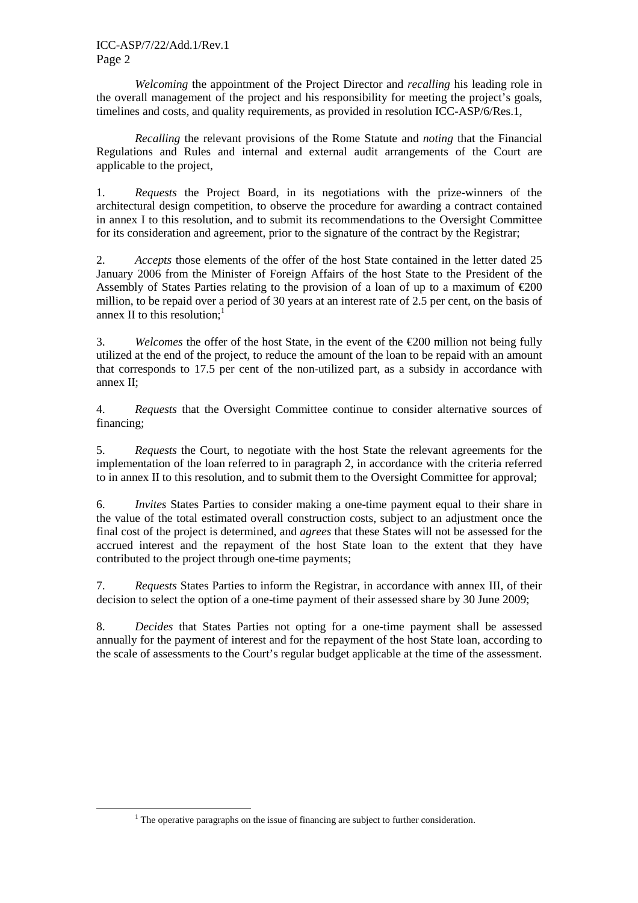#### ICC-ASP/7/22/Add.1/Rev.1 Page 2

*Welcoming* the appointment of the Project Director and *recalling* his leading role in the overall management of the project and his responsibility for meeting the project's goals, timelines and costs, and quality requirements, as provided in resolution ICC-ASP/6/Res.1,

*Recalling* the relevant provisions of the Rome Statute and *noting* that the Financial Regulations and Rules and internal and external audit arrangements of the Court are applicable to the project,

1. *Requests* the Project Board, in its negotiations with the prize-winners of the architectural design competition, to observe the procedure for awarding a contract contained in annex I to this resolution, and to submit its recommendations to the Oversight Committee for its consideration and agreement, prior to the signature of the contract by the Registrar;

2. *Accepts* those elements of the offer of the host State contained in the letter dated 25 January 2006 from the Minister of Foreign Affairs of the host State to the President of the Assembly of States Parties relating to the provision of a loan of up to a maximum of  $\epsilon$ 200 million, to be repaid over a period of 30 years at an interest rate of 2.5 per cent, on the basis of annex II to this resolution; $<sup>1</sup>$ </sup>

3. *Welcomes* the offer of the host State, in the event of the  $\epsilon$ 200 million not being fully utilized at the end of the project, to reduce the amount of the loan to be repaid with an amount that corresponds to 17.5 per cent of the non-utilized part, as a subsidy in accordance with annex II;

4. *Requests* that the Oversight Committee continue to consider alternative sources of financing;

5. *Requests* the Court, to negotiate with the host State the relevant agreements for the implementation of the loan referred to in paragraph 2, in accordance with the criteria referred to in annex II to this resolution, and to submit them to the Oversight Committee for approval;

6. *Invites* States Parties to consider making a one-time payment equal to their share in the value of the total estimated overall construction costs, subject to an adjustment once the final cost of the project is determined, and *agrees* that these States will not be assessed for the accrued interest and the repayment of the host State loan to the extent that they have contributed to the project through one-time payments;

7. *Requests* States Parties to inform the Registrar, in accordance with annex III, of their decision to select the option of a one-time payment of their assessed share by 30 June 2009;

8. *Decides* that States Parties not opting for a one-time payment shall be assessed annually for the payment of interest and for the repayment of the host State loan, according to the scale of assessments to the Court's regular budget applicable at the time of the assessment.

 $\overline{a}$ 

 $<sup>1</sup>$  The operative paragraphs on the issue of financing are subject to further consideration.</sup>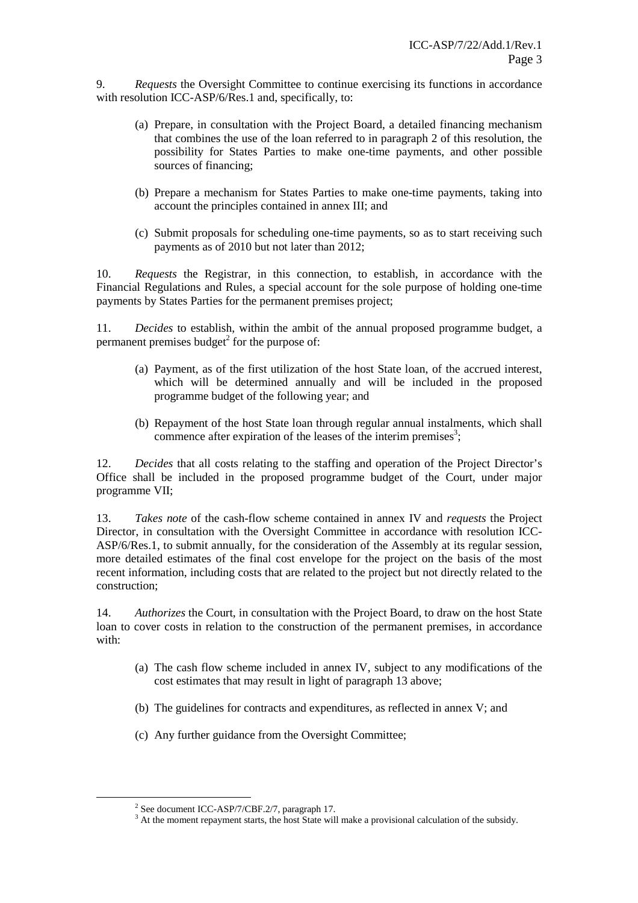9. *Requests* the Oversight Committee to continue exercising its functions in accordance with resolution ICC-ASP/6/Res.1 and, specifically, to:

- (a) Prepare, in consultation with the Project Board, a detailed financing mechanism that combines the use of the loan referred to in paragraph 2 of this resolution, the possibility for States Parties to make one-time payments, and other possible sources of financing;
- (b) Prepare a mechanism for States Parties to make one-time payments, taking into account the principles contained in annex III; and
- (c) Submit proposals for scheduling one-time payments, so as to start receiving such payments as of 2010 but not later than 2012;

10. *Requests* the Registrar, in this connection, to establish, in accordance with the Financial Regulations and Rules, a special account for the sole purpose of holding one-time payments by States Parties for the permanent premises project;

11. *Decides* to establish, within the ambit of the annual proposed programme budget, a permanent premises budget $2$  for the purpose of:

- (a) Payment, as of the first utilization of the host State loan, of the accrued interest, which will be determined annually and will be included in the proposed programme budget of the following year; and
- (b) Repayment of the host State loan through regular annual instalments, which shall commence after expiration of the leases of the interim premises<sup>3</sup>;

12. *Decides* that all costs relating to the staffing and operation of the Project Director's Office shall be included in the proposed programme budget of the Court, under major programme VII;

13. *Takes note* of the cash-flow scheme contained in annex IV and *requests* the Project Director, in consultation with the Oversight Committee in accordance with resolution ICC-ASP/6/Res.1, to submit annually, for the consideration of the Assembly at its regular session, more detailed estimates of the final cost envelope for the project on the basis of the most recent information, including costs that are related to the project but not directly related to the construction;

14. *Authorizes* the Court, in consultation with the Project Board, to draw on the host State loan to cover costs in relation to the construction of the permanent premises, in accordance with:

- (a) The cash flow scheme included in annex IV, subject to any modifications of the cost estimates that may result in light of paragraph 13 above;
- (b) The guidelines for contracts and expenditures, as reflected in annex V; and
- (c) Any further guidance from the Oversight Committee;

 $\overline{a}$ 

<sup>&</sup>lt;sup>2</sup> See document ICC-ASP/7/CBF.2/7, paragraph 17.

<sup>&</sup>lt;sup>3</sup> At the moment repayment starts, the host State will make a provisional calculation of the subsidy.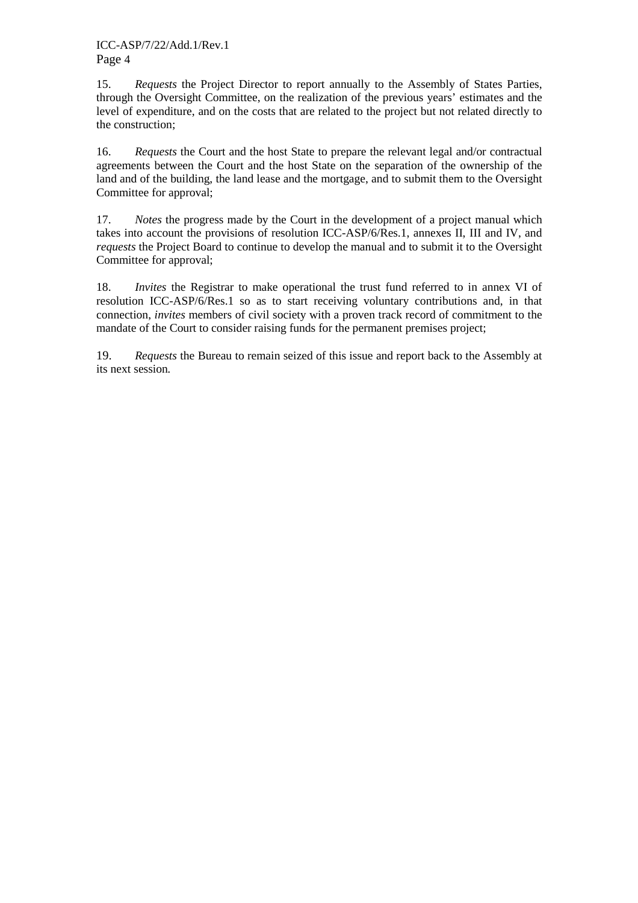15. *Requests* the Project Director to report annually to the Assembly of States Parties, through the Oversight Committee, on the realization of the previous years' estimates and the level of expenditure, and on the costs that are related to the project but not related directly to the construction;

16. *Requests* the Court and the host State to prepare the relevant legal and/or contractual agreements between the Court and the host State on the separation of the ownership of the land and of the building, the land lease and the mortgage, and to submit them to the Oversight Committee for approval;

17. *Notes* the progress made by the Court in the development of a project manual which takes into account the provisions of resolution ICC-ASP/6/Res.1, annexes II, III and IV, and *requests* the Project Board to continue to develop the manual and to submit it to the Oversight Committee for approval;

18. *Invites* the Registrar to make operational the trust fund referred to in annex VI of resolution ICC-ASP/6/Res.1 so as to start receiving voluntary contributions and, in that connection, *invites* members of civil society with a proven track record of commitment to the mandate of the Court to consider raising funds for the permanent premises project;

19. *Requests* the Bureau to remain seized of this issue and report back to the Assembly at its next session*.*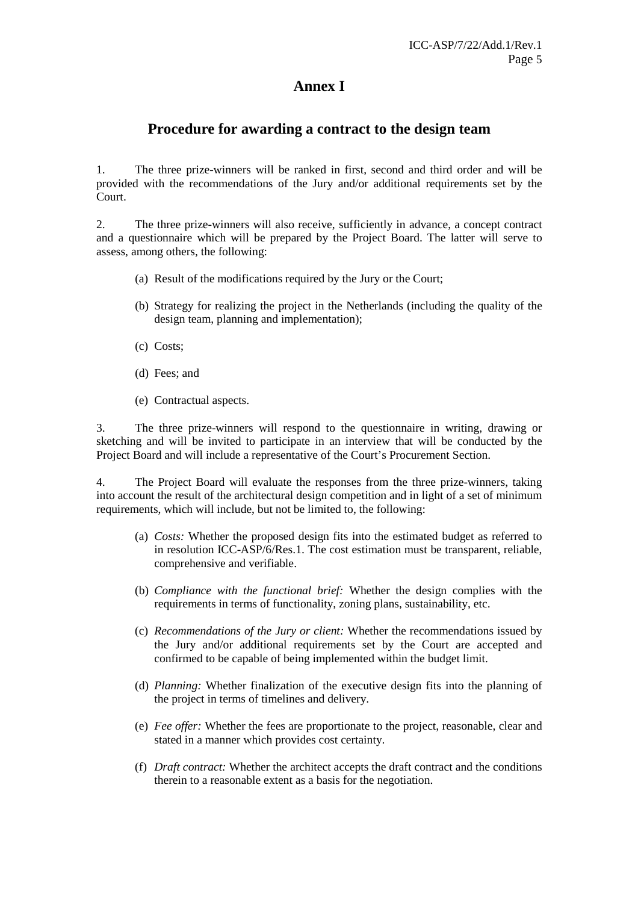## **Annex I**

### **Procedure for awarding a contract to the design team**

1. The three prize-winners will be ranked in first, second and third order and will be provided with the recommendations of the Jury and/or additional requirements set by the Court.

2. The three prize-winners will also receive, sufficiently in advance, a concept contract and a questionnaire which will be prepared by the Project Board. The latter will serve to assess, among others, the following:

- (a) Result of the modifications required by the Jury or the Court;
- (b) Strategy for realizing the project in the Netherlands (including the quality of the design team, planning and implementation);
- (c) Costs;
- (d) Fees; and
- (e) Contractual aspects.

3. The three prize-winners will respond to the questionnaire in writing, drawing or sketching and will be invited to participate in an interview that will be conducted by the Project Board and will include a representative of the Court's Procurement Section.

4. The Project Board will evaluate the responses from the three prize-winners, taking into account the result of the architectural design competition and in light of a set of minimum requirements, which will include, but not be limited to, the following:

- (a) *Costs:* Whether the proposed design fits into the estimated budget as referred to in resolution ICC-ASP/6/Res.1. The cost estimation must be transparent, reliable, comprehensive and verifiable.
- (b) *Compliance with the functional brief:* Whether the design complies with the requirements in terms of functionality, zoning plans, sustainability, etc.
- (c) *Recommendations of the Jury or client:* Whether the recommendations issued by the Jury and/or additional requirements set by the Court are accepted and confirmed to be capable of being implemented within the budget limit.
- (d) *Planning:* Whether finalization of the executive design fits into the planning of the project in terms of timelines and delivery.
- (e) *Fee offer:* Whether the fees are proportionate to the project, reasonable, clear and stated in a manner which provides cost certainty.
- (f) *Draft contract:* Whether the architect accepts the draft contract and the conditions therein to a reasonable extent as a basis for the negotiation.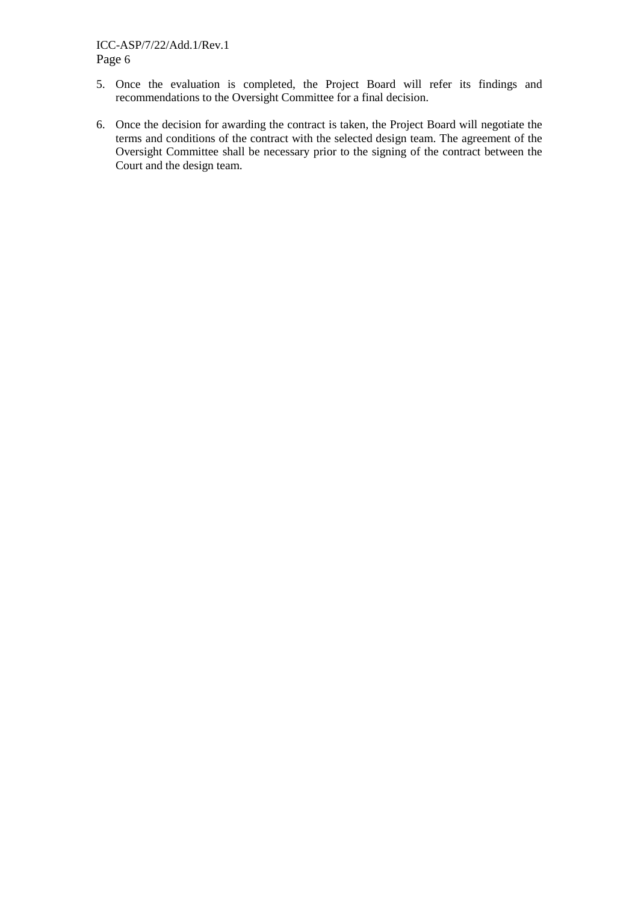#### ICC-ASP/7/22/Add.1/Rev.1 Page 6

- 5. Once the evaluation is completed, the Project Board will refer its findings and recommendations to the Oversight Committee for a final decision.
- 6. Once the decision for awarding the contract is taken, the Project Board will negotiate the terms and conditions of the contract with the selected design team. The agreement of the Oversight Committee shall be necessary prior to the signing of the contract between the Court and the design team.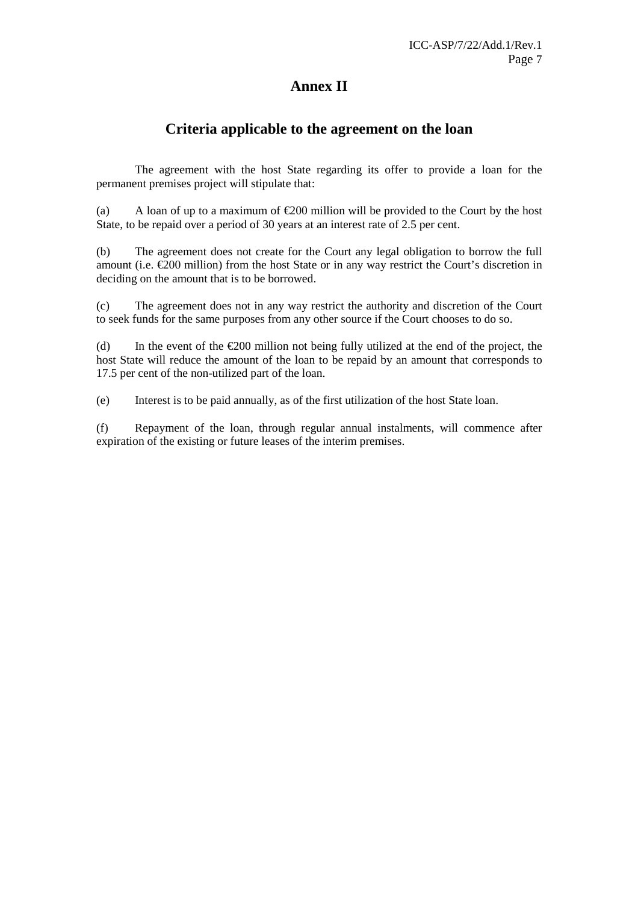## **Annex II**

### **Criteria applicable to the agreement on the loan**

 The agreement with the host State regarding its offer to provide a loan for the permanent premises project will stipulate that:

(a) A loan of up to a maximum of  $\epsilon$ 200 million will be provided to the Court by the host State, to be repaid over a period of 30 years at an interest rate of 2.5 per cent.

(b) The agreement does not create for the Court any legal obligation to borrow the full amount (i.e.  $\epsilon$ 200 million) from the host State or in any way restrict the Court's discretion in deciding on the amount that is to be borrowed.

(c) The agreement does not in any way restrict the authority and discretion of the Court to seek funds for the same purposes from any other source if the Court chooses to do so.

(d) In the event of the  $\epsilon$ 200 million not being fully utilized at the end of the project, the host State will reduce the amount of the loan to be repaid by an amount that corresponds to 17.5 per cent of the non-utilized part of the loan.

(e) Interest is to be paid annually, as of the first utilization of the host State loan.

(f) Repayment of the loan, through regular annual instalments, will commence after expiration of the existing or future leases of the interim premises.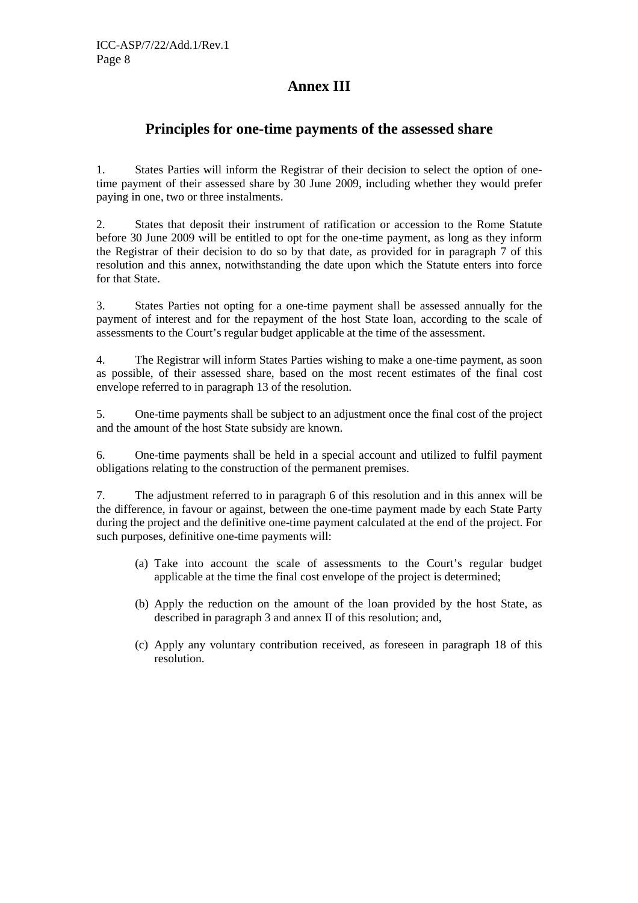## **Annex III**

### **Principles for one-time payments of the assessed share**

1. States Parties will inform the Registrar of their decision to select the option of onetime payment of their assessed share by 30 June 2009, including whether they would prefer paying in one, two or three instalments.

2. States that deposit their instrument of ratification or accession to the Rome Statute before 30 June 2009 will be entitled to opt for the one-time payment, as long as they inform the Registrar of their decision to do so by that date, as provided for in paragraph 7 of this resolution and this annex, notwithstanding the date upon which the Statute enters into force for that State.

3. States Parties not opting for a one-time payment shall be assessed annually for the payment of interest and for the repayment of the host State loan, according to the scale of assessments to the Court's regular budget applicable at the time of the assessment.

4. The Registrar will inform States Parties wishing to make a one-time payment, as soon as possible, of their assessed share, based on the most recent estimates of the final cost envelope referred to in paragraph 13 of the resolution.

5. One-time payments shall be subject to an adjustment once the final cost of the project and the amount of the host State subsidy are known.

6. One-time payments shall be held in a special account and utilized to fulfil payment obligations relating to the construction of the permanent premises.

7. The adjustment referred to in paragraph 6 of this resolution and in this annex will be the difference, in favour or against, between the one-time payment made by each State Party during the project and the definitive one-time payment calculated at the end of the project. For such purposes, definitive one-time payments will:

- (a) Take into account the scale of assessments to the Court's regular budget applicable at the time the final cost envelope of the project is determined;
- (b) Apply the reduction on the amount of the loan provided by the host State, as described in paragraph 3 and annex II of this resolution; and,
- (c) Apply any voluntary contribution received, as foreseen in paragraph 18 of this resolution.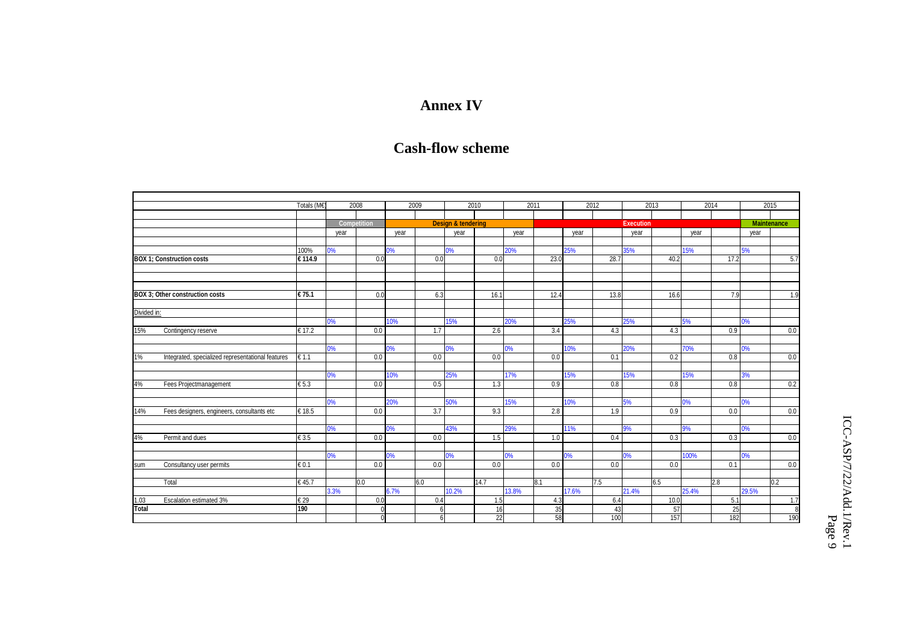# **Annex IV**

# **Cash-flow scheme**

|                                        |                                                   | Totals (M€)<br>2008        |                    |     | 2009 |     | 2010                          |      | 2011  |      | 2012  |      | 2013             |      | 2014  |      | 2015               |     |
|----------------------------------------|---------------------------------------------------|----------------------------|--------------------|-----|------|-----|-------------------------------|------|-------|------|-------|------|------------------|------|-------|------|--------------------|-----|
|                                        |                                                   |                            | <b>Competition</b> |     |      |     | <b>Design &amp; tendering</b> |      |       |      |       |      | <b>Execution</b> |      |       |      |                    |     |
|                                        |                                                   |                            |                    |     |      |     |                               |      |       |      |       |      |                  |      |       |      | <b>Maintenance</b> |     |
|                                        |                                                   |                            | vear               |     | vear |     | vear                          |      | vear  |      | vear  |      | year             |      | vear  |      | year               |     |
|                                        |                                                   |                            |                    |     |      |     |                               |      |       |      |       |      |                  |      |       |      |                    |     |
|                                        |                                                   | 100%                       | 0%                 |     | 0%   |     | 0%                            |      | 20%   |      | 25%   |      | 35%              |      | 15%   |      | 5%                 |     |
|                                        | <b>BOX 1: Construction costs</b>                  | €114.9                     |                    | 0.0 |      | 0.0 |                               | 0.0  |       | 23.0 |       | 28.7 |                  | 40.2 |       | 17.2 |                    | 5.7 |
|                                        |                                                   |                            |                    |     |      |     |                               |      |       |      |       |      |                  |      |       |      |                    |     |
|                                        |                                                   |                            |                    |     |      |     |                               |      |       |      |       |      |                  |      |       |      |                    |     |
| <b>BOX 3: Other construction costs</b> |                                                   | $\overline{\epsilon}$ 75.1 |                    | 0.0 |      | 6.3 |                               | 16.1 |       | 12.4 |       | 13.8 |                  | 16.6 |       | 7.9  |                    | 1.9 |
|                                        |                                                   |                            |                    |     |      |     |                               |      |       |      |       |      |                  |      |       |      |                    |     |
| Divided in:                            |                                                   |                            |                    |     |      |     |                               |      |       |      |       |      |                  |      |       |      |                    |     |
|                                        |                                                   |                            | 0%                 |     | 10%  |     | 15%                           |      | 20%   |      | 25%   |      | 25%              |      | 5%    |      | 0%                 |     |
| 15%                                    | Contingency reserve                               | € 17.2                     |                    | 0.0 |      | 1.7 |                               | 2.6  |       | 3.4  |       | 4.3  |                  | 4.3  |       | 0.9  |                    | 0.0 |
|                                        |                                                   |                            |                    |     |      |     |                               |      |       |      |       |      |                  |      |       |      |                    |     |
|                                        |                                                   |                            | 0%                 |     | 0%   |     | 0%                            |      | 0%    |      | 10%   |      | 20%              |      | 70%   |      | 0%                 |     |
| 1%                                     | Integrated, specialized representational features | € 1.1                      |                    | 0.0 |      | 0.0 |                               | 0.0  |       | 0.0  |       | 0.1  |                  | 0.2  |       | 0.8  |                    | 0.0 |
|                                        |                                                   |                            |                    |     |      |     |                               |      |       |      |       |      |                  |      |       |      |                    |     |
|                                        |                                                   |                            | 0%                 |     | 10%  |     | 25%                           |      | 17%   |      | 15%   |      | 15%              |      | 15%   |      | 3%                 |     |
| 4%                                     | Fees Projectmanagement                            | $\epsilon$ 5.3             |                    | 0.0 |      | 0.5 |                               | 1.3  |       | 0.9  |       | 0.8  |                  | 0.8  |       | 0.8  |                    | 0.2 |
|                                        |                                                   |                            |                    |     |      |     |                               |      |       |      |       |      |                  |      |       |      |                    |     |
|                                        |                                                   |                            | 0%                 |     | 20%  |     | 50%                           |      | 15%   |      | 10%   |      | 5%               |      | 0%    |      | 0%                 |     |
| 14%                                    | Fees designers, engineers, consultants etc        | € 18.5                     |                    | 0.0 |      | 3.7 |                               | 9.3  |       | 2.8  |       | 1.9  |                  | 0.9  |       | 0.0  |                    | 0.0 |
|                                        |                                                   |                            |                    |     |      |     |                               |      |       |      |       |      |                  |      |       |      |                    |     |
| 4%                                     | Permit and dues                                   | $\epsilon$ 3.5             | 0%                 | 0.0 | 0%   | 0.0 | 43%                           | 1.5  | 29%   | 1.0  | 11%   | 0.4  | 9%               | 0.3  | 9%    | 0.3  | 0%                 | 0.0 |
|                                        |                                                   |                            |                    |     |      |     |                               |      |       |      |       |      |                  |      |       |      |                    |     |
|                                        |                                                   |                            | 0%                 |     | 0%   |     | 0%                            |      | 0%    |      | 0%    |      | 0%               |      | 100%  |      | 0%                 |     |
| sum                                    | Consultancy user permits                          | $\epsilon$ <sub>0.1</sub>  |                    | 0.0 |      | 0.0 |                               | 0.0  |       | 0.0  |       | 0.0  |                  | 0.0  |       | 0.1  |                    | 0.0 |
|                                        |                                                   |                            |                    |     |      |     |                               |      |       |      |       |      |                  |      |       |      |                    |     |
|                                        | Total                                             | €45.7                      |                    | 0.0 |      | 6.0 |                               | 14.7 |       | 8.1  |       | 7.5  |                  | 6.5  |       | 2.8  |                    | 0.2 |
|                                        |                                                   |                            | 3.3%               |     | 6.7% |     | 10.2%                         |      | 13.8% |      | 17.6% |      | 21.4%            |      | 25.4% |      | 29.5%              |     |
|                                        | Escalation estimated 3%                           | $\epsilon$ 29              |                    | 0.0 |      | 0.4 |                               | 1.5  |       | 4.3  |       | 6.4  |                  | 10.0 |       | 5.1  |                    | 1.7 |
| $\frac{1.03}{\text{Total}}$            |                                                   | 190                        |                    |     |      | 6   |                               | 16   |       | 35   |       | 43   |                  | 57   |       | 25   |                    | 8   |
|                                        |                                                   |                            |                    |     |      | ĥ   |                               | 22   |       | 58   |       | 100  |                  | 157  |       | 182  |                    | 190 |

ICC-ASP/7/22/Add.1/Rev.1 ICC-ASP/7/22/Add.1/Rev.1<br>Page 9